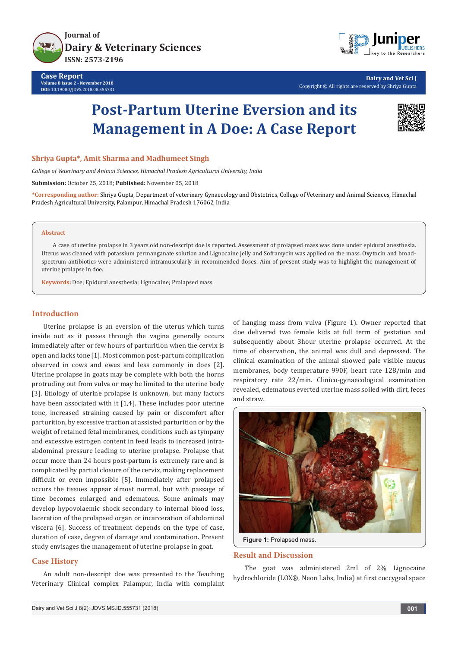



**Dairy and Vet Sci J** Copyright © All rights are reserved by Shriya Gupta

# **Post-Partum Uterine Eversion and its Management in A Doe: A Case Report**



## **Shriya Gupta\*, Amit Sharma and Madhumeet Singh**

*College of Veterinary and Animal Sciences, Himachal Pradesh Agricultural University, India*

**Submission:** October 25, 2018; **Published:** November 05, 2018

**\*Corresponding author:** Shriya Gupta, Department of veterinary Gynaecology and Obstetrics, College of Veterinary and Animal Sciences, Himachal Pradesh Agricultural University, Palampur, Himachal Pradesh 176062, India

#### **Abstract**

A case of uterine prolapse in 3 years old non-descript doe is reported. Assessment of prolapsed mass was done under epidural anesthesia. Uterus was cleaned with potassium permanganate solution and Lignocaine jelly and Soframycin was applied on the mass. Oxytocin and broadspectrum antibiotics were administered intramuscularly in recommended doses. Aim of present study was to highlight the management of uterine prolapse in doe.

**Keywords:** Doe; Epidural anesthesia; Lignocaine; Prolapsed mass

## **Introduction**

Uterine prolapse is an eversion of the uterus which turns inside out as it passes through the vagina generally occurs immediately after or few hours of parturition when the cervix is open and lacks tone [1]. Most common post-partum complication observed in cows and ewes and less commonly in does [2]. Uterine prolapse in goats may be complete with both the horns protruding out from vulva or may be limited to the uterine body [3]. Etiology of uterine prolapse is unknown, but many factors have been associated with it [1,4]. These includes poor uterine tone, increased straining caused by pain or discomfort after parturition, by excessive traction at assisted parturition or by the weight of retained fetal membranes, conditions such as tympany and excessive estrogen content in feed leads to increased intraabdominal pressure leading to uterine prolapse. Prolapse that occur more than 24 hours post-partum is extremely rare and is complicated by partial closure of the cervix, making replacement difficult or even impossible [5]. Immediately after prolapsed occurs the tissues appear almost normal, but with passage of time becomes enlarged and edematous. Some animals may develop hypovolaemic shock secondary to internal blood loss, laceration of the prolapsed organ or incarceration of abdominal viscera [6]. Success of treatment depends on the type of case, duration of case, degree of damage and contamination. Present study envisages the management of uterine prolapse in goat.

### **Case History**

An adult non-descript doe was presented to the Teaching Veterinary Clinical complex Palampur, India with complaint of hanging mass from vulva (Figure 1). Owner reported that doe delivered two female kids at full term of gestation and subsequently about 3hour uterine prolapse occurred. At the time of observation, the animal was dull and depressed. The clinical examination of the animal showed pale visible mucus membranes, body temperature 990F, heart rate 128/min and respiratory rate 22/min. Clinico-gynaecological examination revealed, edematous everted uterine mass soiled with dirt, feces and straw.



#### **Result and Discussion**

The goat was administered 2ml of 2% Lignocaine hydrochloride (LOX®, Neon Labs, India) at first coccygeal space